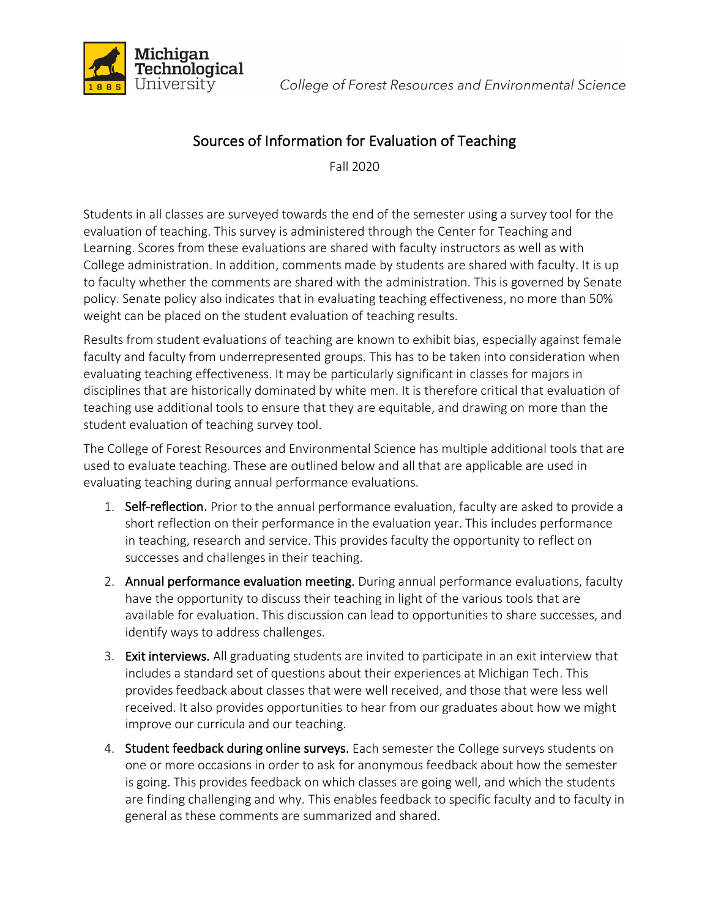



## Sources of Information for Evaluation of Teaching

Fall 2020

Students in all classes are surveyed towards the end of the semester using a survey tool for the evaluation of teaching. This survey is administered through the Center for Teaching and Learning. Scores from these evaluations are shared with faculty instructors as well as with College administration. In addition, comments made by students are shared with faculty. It is up to faculty whether the comments are shared with the administration. This is governed by Senate policy. Senate policy also indicates that in evaluating teaching effectiveness, no more than 50% weight can be placed on the student evaluation of teaching results.

Results from student evaluations of teaching are known to exhibit bias, especially against female faculty and faculty from underrepresented groups. This has to be taken into consideration when evaluating teaching effectiveness. It may be particularly significant in classes for majors in disciplines that are historically dominated by white men. It is therefore critical that evaluation of teaching use additional tools to ensure that they are equitable, and drawing on more than the student evaluation of teaching survey tool.

The College of Forest Resources and Environmental Science has multiple additional tools that are used to evaluate teaching. These are outlined below and all that are applicable are used in evaluating teaching during annual performance evaluations.

- 1. Self-reflection. Prior to the annual performance evaluation, faculty are asked to provide a short reflection on their performance in the evaluation year. This includes performance in teaching, research and service. This provides faculty the opportunity to reflect on successes and challenges in their teaching.
- 2. Annual performance evaluation meeting. During annual performance evaluations, faculty have the opportunity to discuss their teaching in light of the various tools that are available for evaluation. This discussion can lead to opportunities to share successes, and identify ways to address challenges.
- 3. Exit interviews. All graduating students are invited to participate in an exit interview that includes a standard set of questions about their experiences at Michigan Tech. This provides feedback about classes that were well received, and those that were less well received. It also provides opportunities to hear from our graduates about how we might improve our curricula and our teaching.
- 4. Student feedback during online surveys. Each semester the College surveys students on one or more occasions in order to ask for anonymous feedback about how the semester is going. This provides feedback on which classes are going well, and which the students are finding challenging and why. This enables feedback to specific faculty and to faculty in general as these comments are summarized and shared.